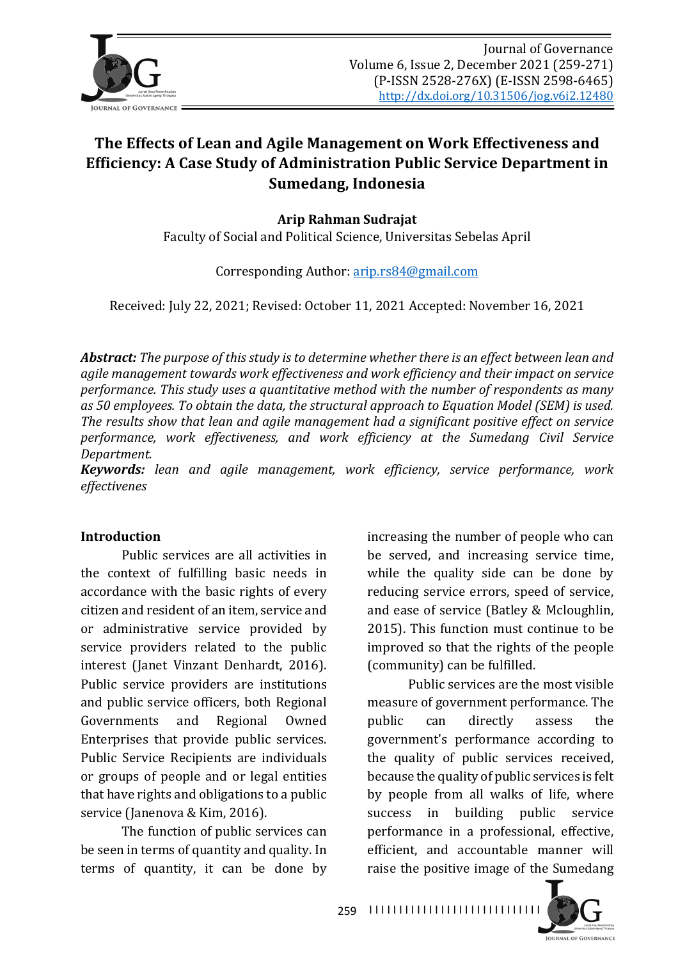

# The Effects of Lean and Agile Management on Work Effectiveness and **Efficiency:** A Case Study of Administration Public Service Department in **Sumedang, Indonesia**

**Arip Rahman Sudrajat**

Faculty of Social and Political Science, Universitas Sebelas April

Corresponding Author: arip.rs84@gmail.com

Received: July 22, 2021; Revised: October 11, 2021 Accepted: November 16, 2021

*Abstract:* The purpose of this study is to determine whether there is an effect between lean and agile management towards work effectiveness and work efficiency and their impact on service *performance.* This study uses a quantitative method with the number of respondents as many as 50 employees. To obtain the data, the structural approach to Equation Model (SEM) is used. The results show that lean and agile management had a significant positive effect on service performance, work effectiveness, and work efficiency at the Sumedang Civil Service *Department.*

*Keywords: lean and agile management, work efficiency, service performance, work effectivenes* 

### **Introduction**

Public services are all activities in the context of fulfilling basic needs in accordance with the basic rights of every citizen and resident of an item, service and or administrative service provided by service providers related to the public interest (Janet Vinzant Denhardt, 2016). Public service providers are institutions and public service officers, both Regional Governments and Regional Owned Enterprises that provide public services. Public Service Recipients are individuals or groups of people and or legal entities that have rights and obligations to a public service (Janenova & Kim, 2016).

The function of public services can be seen in terms of quantity and quality. In terms of quantity, it can be done by

increasing the number of people who can be served, and increasing service time, while the quality side can be done by reducing service errors, speed of service, and ease of service (Batley & Mcloughlin, 2015). This function must continue to be improved so that the rights of the people (community) can be fulfilled.

Public services are the most visible measure of government performance. The public can directly assess the government's performance according to the quality of public services received, because the quality of public services is felt by people from all walks of life, where success in building public service performance in a professional, effective, efficient, and accountable manner will raise the positive image of the Sumedang

259 I I I I I I I I I I I I I I I I I I I I I I I I I I I I I

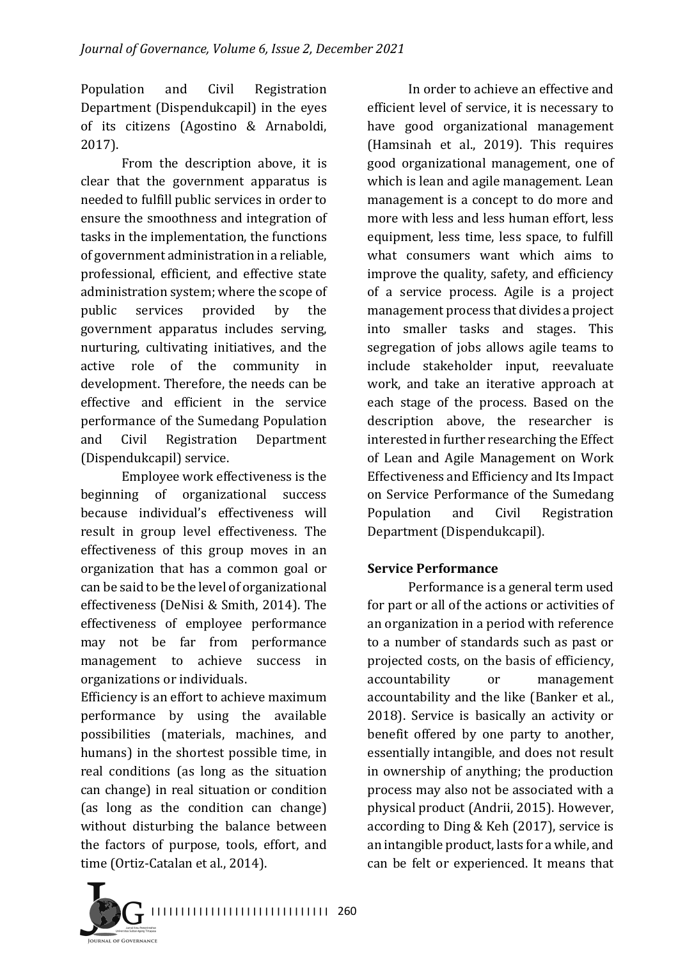Population and Civil Registration Department (Dispendukcapil) in the eyes of its citizens (Agostino & Arnaboldi, 2017).

From the description above, it is clear that the government apparatus is needed to fulfill public services in order to ensure the smoothness and integration of tasks in the implementation, the functions of government administration in a reliable, professional, efficient, and effective state administration system; where the scope of public services provided by the government apparatus includes serving, nurturing, cultivating initiatives, and the active role of the community in development. Therefore, the needs can be effective and efficient in the service performance of the Sumedang Population and Civil Registration Department (Dispendukcapil) service.

Employee work effectiveness is the beginning of organizational success because individual's effectiveness will result in group level effectiveness. The effectiveness of this group moves in an organization that has a common goal or can be said to be the level of organizational effectiveness (DeNisi & Smith, 2014). The effectiveness of employee performance may not be far from performance management to achieve success in organizations or individuals.

Efficiency is an effort to achieve maximum performance by using the available possibilities (materials, machines, and humans) in the shortest possible time, in real conditions (as long as the situation can change) in real situation or condition (as long as the condition can change) without disturbing the balance between the factors of purpose, tools, effort, and time (Ortiz-Catalan et al., 2014).

In order to achieve an effective and efficient level of service, it is necessary to have good organizational management (Hamsinah et al., 2019). This requires good organizational management, one of which is lean and agile management. Lean management is a concept to do more and more with less and less human effort, less equipment, less time, less space, to fulfill what consumers want which aims to improve the quality, safety, and efficiency of a service process. Agile is a project management process that divides a project into smaller tasks and stages. This segregation of jobs allows agile teams to include stakeholder input, reevaluate work, and take an iterative approach at each stage of the process. Based on the description above, the researcher is interested in further researching the Effect of Lean and Agile Management on Work Effectiveness and Efficiency and Its Impact on Service Performance of the Sumedang Population and Civil Registration Department (Dispendukcapil).

# **Service Performance**

Performance is a general term used for part or all of the actions or activities of an organization in a period with reference to a number of standards such as past or projected costs, on the basis of efficiency, accountability or management accountability and the like (Banker et al., 2018). Service is basically an activity or benefit offered by one party to another, essentially intangible, and does not result in ownership of anything; the production process may also not be associated with a physical product (Andrii, 2015). However, according to Ding  $&$  Keh (2017), service is an intangible product, lasts for a while, and can be felt or experienced. It means that

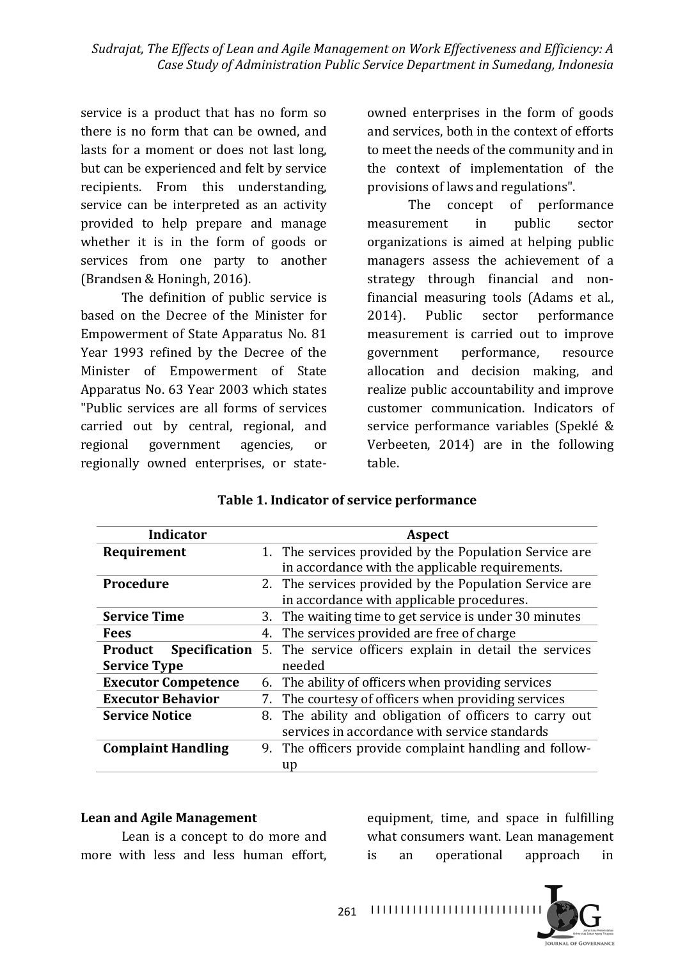service is a product that has no form so there is no form that can be owned, and lasts for a moment or does not last long. but can be experienced and felt by service recipients. From this understanding, service can be interpreted as an activity provided to help prepare and manage whether it is in the form of goods or services from one party to another (Brandsen & Honingh, 2016).

The definition of public service is based on the Decree of the Minister for Empowerment of State Apparatus No. 81 Year 1993 refined by the Decree of the Minister of Empowerment of State Apparatus No. 63 Year 2003 which states "Public services are all forms of services carried out by central, regional, and regional government agencies, or regionally owned enterprises, or stateowned enterprises in the form of goods and services, both in the context of efforts to meet the needs of the community and in the context of implementation of the provisions of laws and regulations".

The concept of performance measurement in public sector organizations is aimed at helping public managers assess the achievement of a strategy through financial and nonfinancial measuring tools (Adams et al., 2014). Public sector performance measurement is carried out to improve government performance, resource allocation and decision making, and realize public accountability and improve customer communication. Indicators of service performance variables (Speklé & Verbeeten, 2014) are in the following table.

| Indicator                  | Aspect                                                                      |  |  |
|----------------------------|-----------------------------------------------------------------------------|--|--|
| Requirement                | 1. The services provided by the Population Service are                      |  |  |
|                            | in accordance with the applicable requirements.                             |  |  |
| <b>Procedure</b>           | 2. The services provided by the Population Service are                      |  |  |
|                            | in accordance with applicable procedures.                                   |  |  |
| <b>Service Time</b>        | 3. The waiting time to get service is under 30 minutes                      |  |  |
| <b>Fees</b>                | 4. The services provided are free of charge                                 |  |  |
| Product                    | <b>Specification</b> 5. The service officers explain in detail the services |  |  |
| <b>Service Type</b>        | needed                                                                      |  |  |
| <b>Executor Competence</b> | 6. The ability of officers when providing services                          |  |  |
| <b>Executor Behavior</b>   | 7. The courtesy of officers when providing services                         |  |  |
| <b>Service Notice</b>      | 8. The ability and obligation of officers to carry out                      |  |  |
|                            | services in accordance with service standards                               |  |  |
| <b>Complaint Handling</b>  | 9. The officers provide complaint handling and follow-                      |  |  |
|                            | up                                                                          |  |  |

### Table 1. Indicator of service performance

#### Lean and Agile Management

Lean is a concept to do more and more with less and less human effort,

equipment, time, and space in fulfilling what consumers want. Lean management is an operational approach in

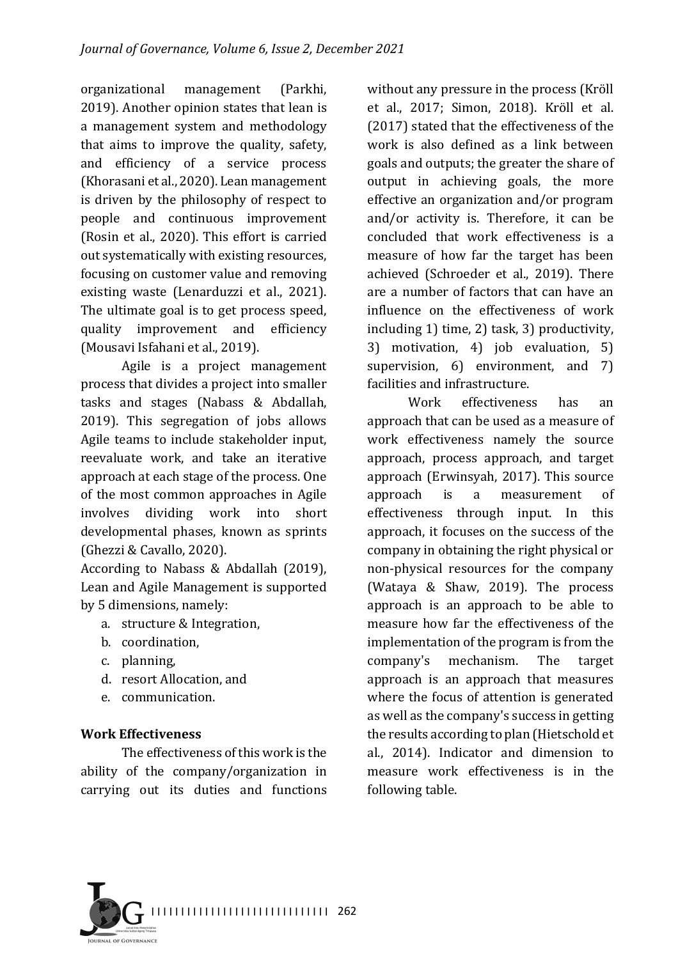organizational management (Parkhi, 2019). Another opinion states that lean is a management system and methodology that aims to improve the quality, safety, and efficiency of a service process (Khorasani et al., 2020). Lean management is driven by the philosophy of respect to people and continuous improvement (Rosin et al., 2020). This effort is carried out systematically with existing resources, focusing on customer value and removing existing waste (Lenarduzzi et al., 2021). The ultimate goal is to get process speed, quality improvement and efficiency (Mousavi Isfahani et al., 2019).

Agile is a project management process that divides a project into smaller tasks and stages (Nabass & Abdallah, 2019). This segregation of jobs allows Agile teams to include stakeholder input, reevaluate work, and take an iterative approach at each stage of the process. One of the most common approaches in Agile involves dividing work into short developmental phases, known as sprints (Ghezzi & Cavallo, 2020).

According to Nabass & Abdallah  $(2019)$ , Lean and Agile Management is supported by 5 dimensions, namely:

- a. structure & Integration,
- b. coordination,
- c. planning,
- d. resort Allocation, and
- e. communication.

#### **Work Effectiveness**

The effectiveness of this work is the ability of the company/organization in carrying out its duties and functions

without any pressure in the process (Kröll et al., 2017; Simon, 2018). Kröll et al. (2017) stated that the effectiveness of the work is also defined as a link between goals and outputs; the greater the share of output in achieving goals, the more effective an organization and/or program and/or activity is. Therefore, it can be concluded that work effectiveness is a measure of how far the target has been achieved (Schroeder et al., 2019). There are a number of factors that can have an influence on the effectiveness of work including  $1$ ) time,  $2$ ) task,  $3$ ) productivity, 3) motivation, 4) job evaluation, 5) supervision,  $6$ ) environment, and  $7$ ) facilities and infrastructure.

Work effectiveness has an approach that can be used as a measure of work effectiveness namely the source approach, process approach, and target approach (Erwinsyah, 2017). This source approach is a measurement of effectiveness through input. In this approach, it focuses on the success of the company in obtaining the right physical or non-physical resources for the company (Wataya  $&$  Shaw, 2019). The process approach is an approach to be able to measure how far the effectiveness of the implementation of the program is from the company's mechanism. The target approach is an approach that measures where the focus of attention is generated as well as the company's success in getting the results according to plan (Hietschold et al., 2014). Indicator and dimension to measure work effectiveness is in the following table.

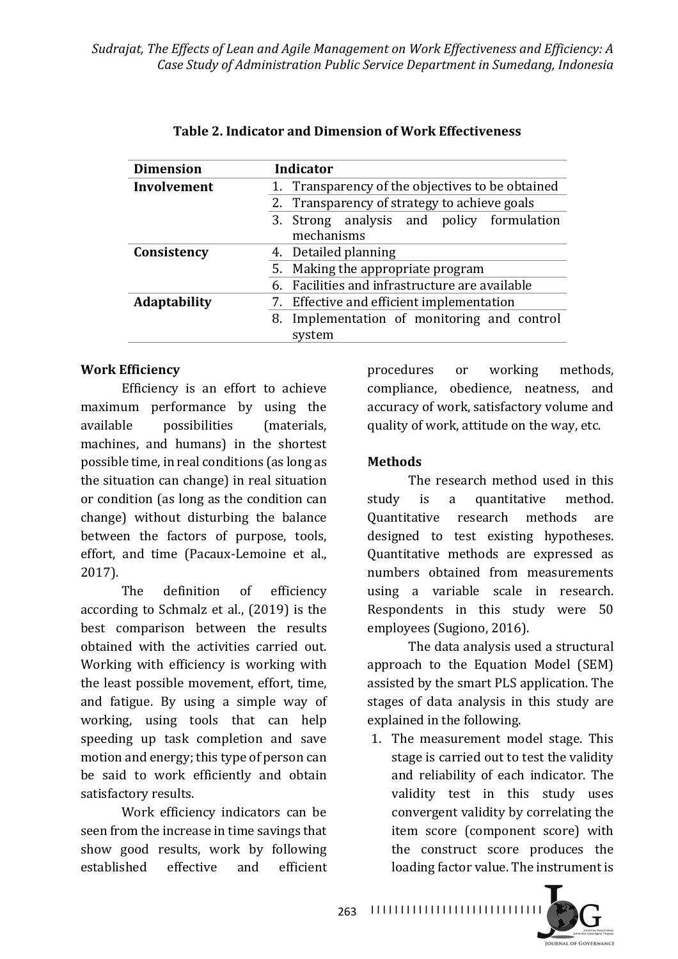| <b>Dimension</b>    | <b>Indicator</b>                                 |  |  |
|---------------------|--------------------------------------------------|--|--|
| Involvement         | 1. Transparency of the objectives to be obtained |  |  |
|                     | 2. Transparency of strategy to achieve goals     |  |  |
|                     | 3. Strong analysis and policy formulation        |  |  |
|                     | mechanisms                                       |  |  |
| Consistency         | 4. Detailed planning                             |  |  |
|                     | 5. Making the appropriate program                |  |  |
|                     | 6. Facilities and infrastructure are available   |  |  |
| <b>Adaptability</b> | 7. Effective and efficient implementation        |  |  |
|                     | 8. Implementation of monitoring and control      |  |  |
|                     | system                                           |  |  |

### **Table 2. Indicator and Dimension of Work Effectiveness**

#### **Work Efficiency**

Efficiency is an effort to achieve maximum performance by using the available possibilities (materials, machines, and humans) in the shortest possible time, in real conditions (as long as the situation can change) in real situation or condition (as long as the condition can change) without disturbing the balance between the factors of purpose, tools, effort, and time (Pacaux-Lemoine et al., 2017).

The definition of efficiency according to Schmalz et al., (2019) is the best comparison between the results obtained with the activities carried out. Working with efficiency is working with the least possible movement, effort, time, and fatigue. By using a simple way of working, using tools that can help speeding up task completion and save motion and energy; this type of person can be said to work efficiently and obtain satisfactory results.

Work efficiency indicators can be seen from the increase in time savings that show good results, work by following established effective and efficient

procedures or working methods, compliance, obedience, neatness, and accuracy of work, satisfactory volume and quality of work, attitude on the way, etc.

### **Methods**

The research method used in this study is a quantitative method. Quantitative research methods are designed to test existing hypotheses. Quantitative methods are expressed as numbers obtained from measurements using a variable scale in research. Respondents in this study were 50 employees (Sugiono, 2016).

The data analysis used a structural approach to the Equation Model (SEM) assisted by the smart PLS application. The stages of data analysis in this study are explained in the following.

1. The measurement model stage. This stage is carried out to test the validity and reliability of each indicator. The validity test in this study uses convergent validity by correlating the item score (component score) with the construct score produces the loading factor value. The instrument is

I I I I I I I I I I I I I I I I I I I I I I I I I I I I I 263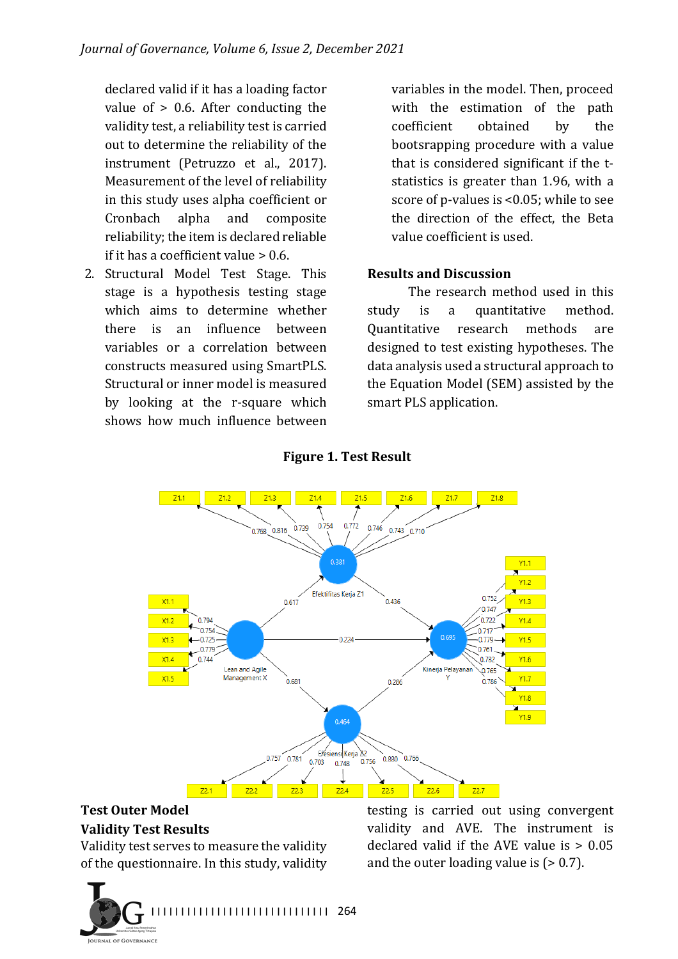declared valid if it has a loading factor value of  $> 0.6$ . After conducting the validity test, a reliability test is carried out to determine the reliability of the instrument (Petruzzo et al., 2017). Measurement of the level of reliability in this study uses alpha coefficient or Cronbach alpha and composite reliability; the item is declared reliable if it has a coefficient value  $> 0.6$ .

2. Structural Model Test Stage. This stage is a hypothesis testing stage which aims to determine whether there is an influence between variables or a correlation between constructs measured using SmartPLS. Structural or inner model is measured by looking at the r-square which shows how much influence between variables in the model. Then, proceed with the estimation of the path coefficient obtained by the bootsrapping procedure with a value that is considered significant if the  $t$ statistics is greater than 1.96, with a score of p-values is  $<0.05$ ; while to see the direction of the effect, the Beta value coefficient is used.

#### **Results and Discussion**

The research method used in this study is a quantitative method. Quantitative research methods are designed to test existing hypotheses. The data analysis used a structural approach to the Equation Model (SEM) assisted by the smart PLS application.



#### **Figure 1. Test Result**

#### **Test Outer Model Validity Test Results**

Validity test serves to measure the validity of the questionnaire. In this study, validity

I I I I I I I I I I I I I I I I I I I I I I I I I I I I I I 264 **JOURNAL OF GOVERNANCE** 

testing is carried out using convergent validity and AVE. The instrument is declared valid if the AVE value is  $> 0.05$ and the outer loading value is  $(> 0.7)$ .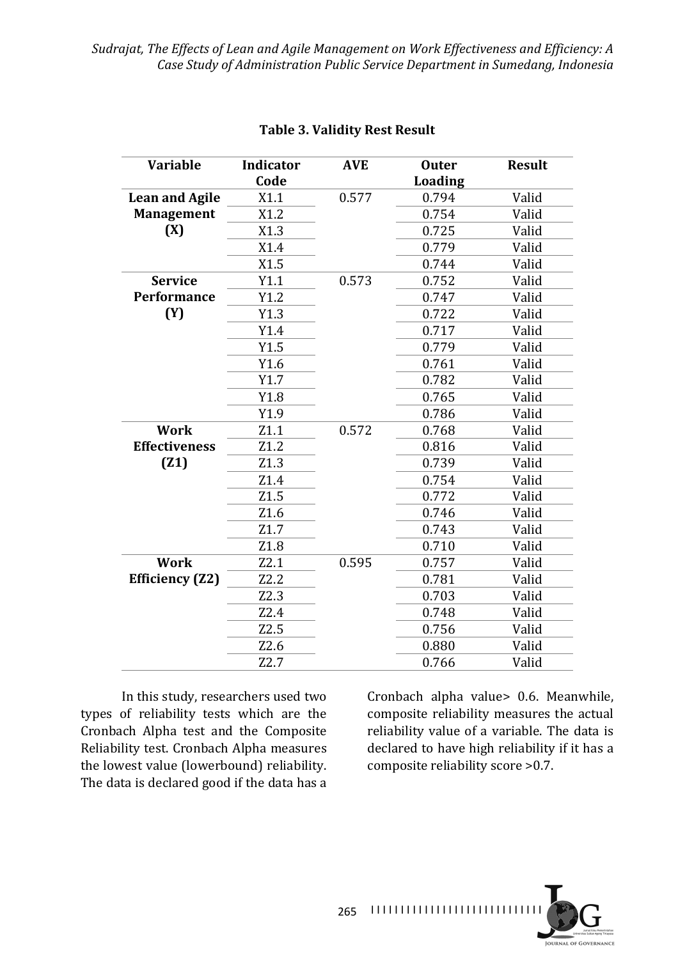| <b>Variable</b>        | Indicator<br>Code | <b>AVE</b> | <b>Outer</b><br><b>Loading</b> | <b>Result</b> |
|------------------------|-------------------|------------|--------------------------------|---------------|
|                        |                   | 0.577      |                                |               |
| <b>Lean and Agile</b>  | X1.1              |            | 0.794                          | Valid         |
| <b>Management</b>      | X1.2              |            | 0.754                          | Valid         |
| (X)                    | X1.3              |            | 0.725                          | Valid         |
|                        | X1.4              |            | 0.779                          | Valid         |
|                        | X1.5              |            | 0.744                          | Valid         |
| <b>Service</b>         | Y1.1              | 0.573      | 0.752                          | Valid         |
| Performance            | Y1.2              |            | 0.747                          | Valid         |
| (Y)                    | Y1.3              |            | 0.722                          | Valid         |
|                        | Y1.4              |            | 0.717                          | Valid         |
|                        | Y1.5              |            | 0.779                          | Valid         |
|                        | Y1.6              |            | 0.761                          | Valid         |
|                        | Y1.7              |            | 0.782                          | Valid         |
|                        | Y1.8              |            | 0.765                          | Valid         |
|                        | Y1.9              |            | 0.786                          | Valid         |
| <b>Work</b>            | Z1.1              | 0.572      | 0.768                          | Valid         |
| <b>Effectiveness</b>   | Z1.2              |            | 0.816                          | Valid         |
| (21)                   | Z1.3              |            | 0.739                          | Valid         |
|                        | Z1.4              |            | 0.754                          | Valid         |
|                        | Z1.5              |            | 0.772                          | Valid         |
|                        | Z1.6              |            | 0.746                          | Valid         |
|                        | Z1.7              |            | 0.743                          | Valid         |
|                        | Z1.8              |            | 0.710                          | Valid         |
| <b>Work</b>            | Z2.1              | 0.595      | 0.757                          | Valid         |
| <b>Efficiency (Z2)</b> | Z2.2              |            | 0.781                          | Valid         |
|                        | Z2.3              |            | 0.703                          | Valid         |
|                        | Z2.4              |            | 0.748                          | Valid         |
|                        | Z2.5              |            | 0.756                          | Valid         |
|                        | Z2.6              |            | 0.880                          | Valid         |
|                        | Z2.7              |            | 0.766                          | Valid         |

#### **Table 3. Validity Rest Result**

In this study, researchers used two types of reliability tests which are the Cronbach Alpha test and the Composite Reliability test. Cronbach Alpha measures the lowest value (lowerbound) reliability. The data is declared good if the data has a

Cronbach alpha value> 0.6. Meanwhile, composite reliability measures the actual reliability value of a variable. The data is declared to have high reliability if it has a composite reliability score >0.7.

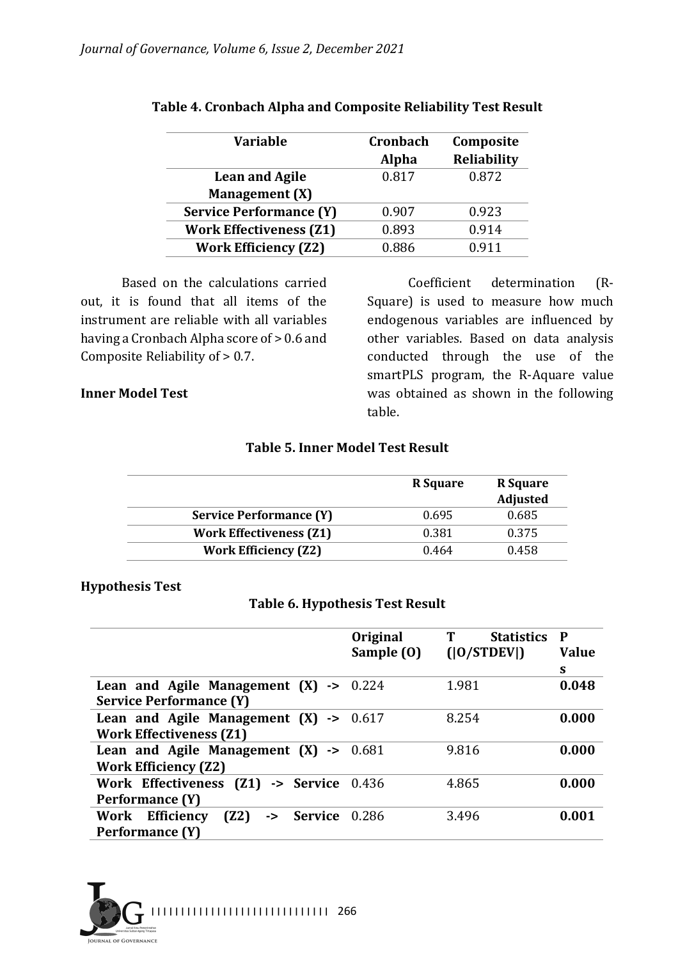| <b>Variable</b>                | Cronbach     | Composite   |
|--------------------------------|--------------|-------------|
|                                | <b>Alpha</b> | Reliability |
| <b>Lean and Agile</b>          | 0.817        | 0.872       |
| Management (X)                 |              |             |
| <b>Service Performance (Y)</b> | 0.907        | 0.923       |
| <b>Work Effectiveness (Z1)</b> | 0.893        | 0.914       |
| <b>Work Efficiency (Z2)</b>    | 0.886        | 0911        |

#### Table 4. Cronbach Alpha and Composite Reliability Test Result

Based on the calculations carried out, it is found that all items of the instrument are reliable with all variables having a Cronbach Alpha score of  $> 0.6$  and Composite Reliability of  $> 0.7$ .

#### **Inner Model Test**

Coefficient determination (R-Square) is used to measure how much endogenous variables are influenced by other variables. Based on data analysis conducted through the use of the smartPLS program, the R-Aquare value was obtained as shown in the following table.

#### **Table 5. Inner Model Test Result**

|                                | <b>R</b> Square | <b>R</b> Square<br><b>Adjusted</b> |
|--------------------------------|-----------------|------------------------------------|
| <b>Service Performance (Y)</b> | 0.695           | 0.685                              |
| <b>Work Effectiveness (Z1)</b> | 0.381           | 0.375                              |
| <b>Work Efficiency (Z2)</b>    | 0.464           | 0.458                              |

#### **Hypothesis Test**

#### **Table 6. Hypothesis Test Result**

|                                                                                     | Original<br>Sample (0) | <b>Statistics</b><br>( 0 STDEV ) | P<br><b>Value</b><br>S |
|-------------------------------------------------------------------------------------|------------------------|----------------------------------|------------------------|
| Lean and Agile Management $(X) \rightarrow$<br><b>Service Performance (Y)</b>       | 0.224                  | 1.981                            | 0.048                  |
| Lean and Agile Management $(X) \rightarrow 0.617$<br><b>Work Effectiveness (Z1)</b> |                        | 8.254                            | 0.000                  |
| Lean and Agile Management $(X) \rightarrow 0.681$<br><b>Work Efficiency (Z2)</b>    |                        | 9.816                            | 0.000                  |
| Work Effectiveness (Z1) -> Service<br>Performance (Y)                               | 0.436                  | 4.865                            | 0.000                  |
| (Z2)<br>Work Efficiency<br><b>Service</b><br>$\rightarrow$<br>Performance (Y)       | 0.286                  | 3.496                            | 0.001                  |

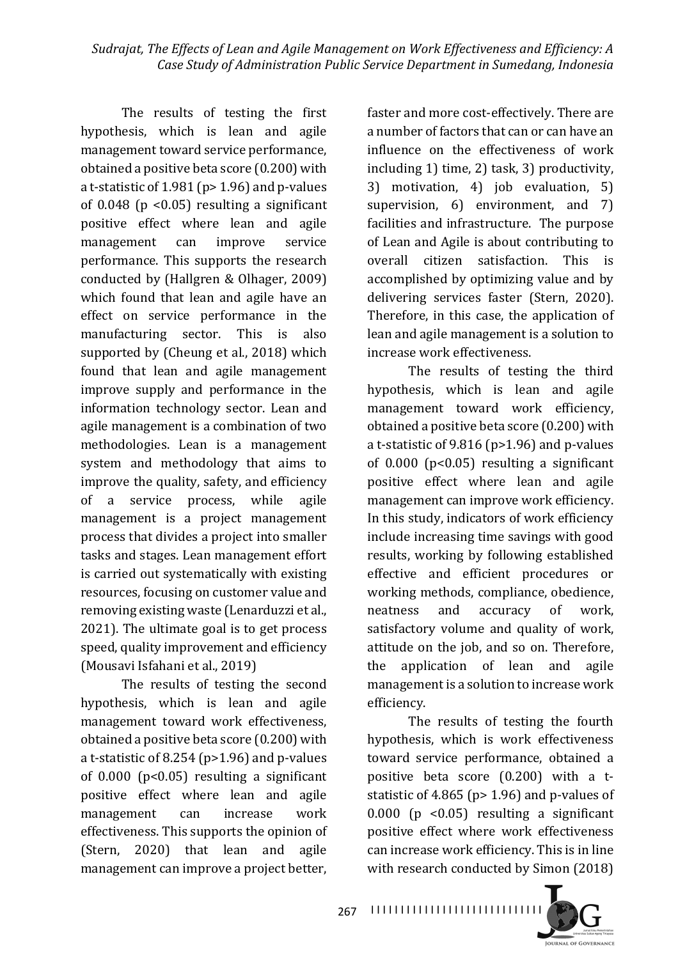The results of testing the first hypothesis, which is lean and agile management toward service performance, obtained a positive beta score  $(0.200)$  with a t-statistic of  $1.981$  (p>  $1.96$ ) and p-values of  $0.048$  (p <  $0.05$ ) resulting a significant positive effect where lean and agile management can improve service performance. This supports the research conducted by (Hallgren & Olhager, 2009) which found that lean and agile have an effect on service performance in the manufacturing sector. This is also supported by (Cheung et al., 2018) which found that lean and agile management improve supply and performance in the information technology sector. Lean and agile management is a combination of two methodologies. Lean is a management system and methodology that aims to improve the quality, safety, and efficiency of a service process, while agile management is a project management process that divides a project into smaller tasks and stages. Lean management effort is carried out systematically with existing resources, focusing on customer value and removing existing waste (Lenarduzzi et al., 2021). The ultimate goal is to get process speed, quality improvement and efficiency (Mousavi Isfahani et al., 2019)

The results of testing the second hypothesis, which is lean and agile management toward work effectiveness, obtained a positive beta score  $(0.200)$  with a t-statistic of 8.254 ( $p>1.96$ ) and  $p$ -values of  $0.000$  ( $p<0.05$ ) resulting a significant positive effect where lean and agile management can increase work effectiveness. This supports the opinion of (Stern, 2020) that lean and agile management can improve a project better,

faster and more cost-effectively. There are a number of factors that can or can have an influence on the effectiveness of work including  $1$ ) time,  $2$ ) task,  $3$ ) productivity, 3) motivation, 4) job evaluation, 5) supervision,  $6$ ) environment, and  $7$ ) facilities and infrastructure. The purpose of Lean and Agile is about contributing to overall citizen satisfaction. This is accomplished by optimizing value and by delivering services faster (Stern, 2020). Therefore, in this case, the application of lean and agile management is a solution to increase work effectiveness.

The results of testing the third hypothesis, which is lean and agile management toward work efficiency, obtained a positive beta score  $(0.200)$  with a t-statistic of 9.816 ( $p>1.96$ ) and  $p$ -values of  $0.000$  ( $p<0.05$ ) resulting a significant positive effect where lean and agile management can improve work efficiency. In this study, indicators of work efficiency include increasing time savings with good results, working by following established effective and efficient procedures or working methods, compliance, obedience, neatness and accuracy of work, satisfactory volume and quality of work, attitude on the job, and so on. Therefore, the application of lean and agile management is a solution to increase work efficiency.

The results of testing the fourth hypothesis, which is work effectiveness toward service performance, obtained a positive beta score  $(0.200)$  with a tstatistic of 4.865 ( $p$  > 1.96) and  $p$ -values of  $0.000$  (p < $0.05$ ) resulting a significant positive effect where work effectiveness can increase work efficiency. This is in line with research conducted by Simon (2018)



I I I I I I I I I I I I I I I I I I I I I I I I I I I I I 267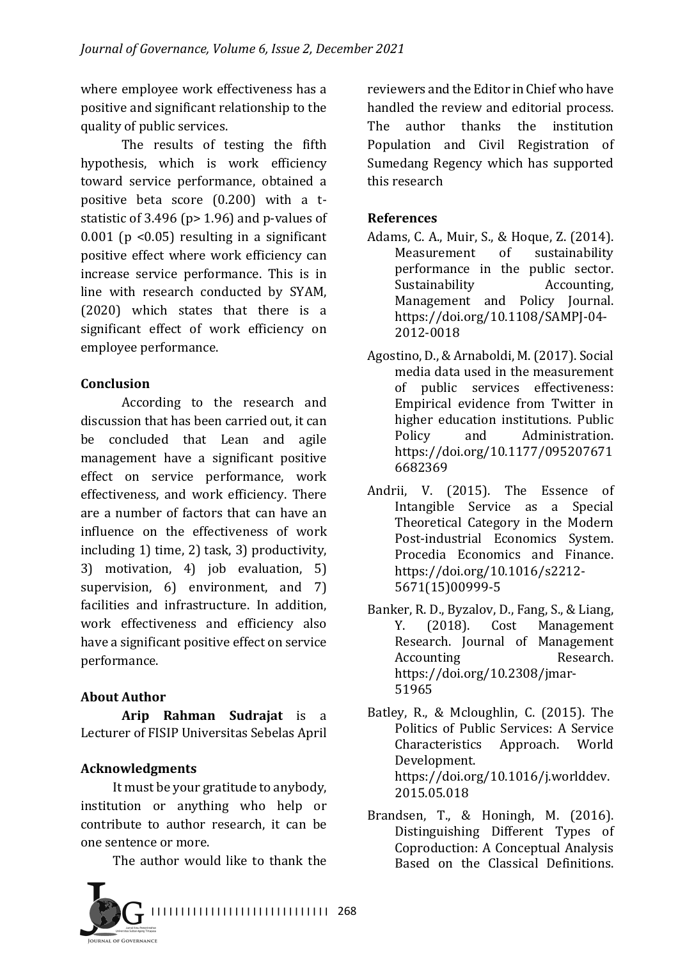where employee work effectiveness has a positive and significant relationship to the quality of public services.

The results of testing the fifth hypothesis, which is work efficiency toward service performance, obtained a positive beta score  $(0.200)$  with a tstatistic of 3.496 ( $p$  > 1.96) and  $p$ -values of 0.001 ( $p \le 0.05$ ) resulting in a significant positive effect where work efficiency can increase service performance. This is in line with research conducted by SYAM, (2020) which states that there is a significant effect of work efficiency on employee performance.

### **Conclusion**

According to the research and discussion that has been carried out, it can be concluded that Lean and agile management have a significant positive effect on service performance, work effectiveness, and work efficiency. There are a number of factors that can have an influence on the effectiveness of work including  $1$ ) time,  $2$ ) task,  $3$ ) productivity, 3) motivation, 4) job evaluation, 5) supervision,  $6$ ) environment, and  $7$ ) facilities and infrastructure. In addition, work effectiveness and efficiency also have a significant positive effect on service performance.

# **About Author**

**Arip Rahman Sudrajat** is a Lecturer of FISIP Universitas Sebelas April

# **Acknowledgments**

It must be your gratitude to anybody, institution or anything who help or contribute to author research, it can be one sentence or more.

The author would like to thank the



reviewers and the Editor in Chief who have handled the review and editorial process. The author thanks the institution Population and Civil Registration of Sumedang Regency which has supported this research

## **References**

- Adams, C. A., Muir, S., & Hoque, Z. (2014). Measurement of sustainability performance in the public sector. Sustainability **Accounting**, Management and Policy Journal. https://doi.org/10.1108/SAMPJ-04- 2012-0018
- Agostino, D., & Arnaboldi, M. (2017). Social media data used in the measurement of public services effectiveness: Empirical evidence from Twitter in higher education institutions. Public Policy and Administration. https://doi.org/10.1177/095207671 6682369
- Andrii, V. (2015). The Essence of Intangible Service as a Special Theoretical Category in the Modern Post-industrial Economics System. Procedia Economics and Finance. https://doi.org/10.1016/s2212- 5671(15)00999-5
- Banker, R. D., Byzalov, D., Fang, S., & Liang, Y. (2018). Cost Management Research. Journal of Management Accounting Research. https://doi.org/10.2308/jmar-51965
- Batley, R., & Mcloughlin, C. (2015). The Politics of Public Services: A Service Characteristics Approach. World Development. https://doi.org/10.1016/j.worlddev. 2015.05.018
- Brandsen, T., & Honingh, M.  $(2016)$ . Distinguishing Different Types of Coproduction: A Conceptual Analysis Based on the Classical Definitions.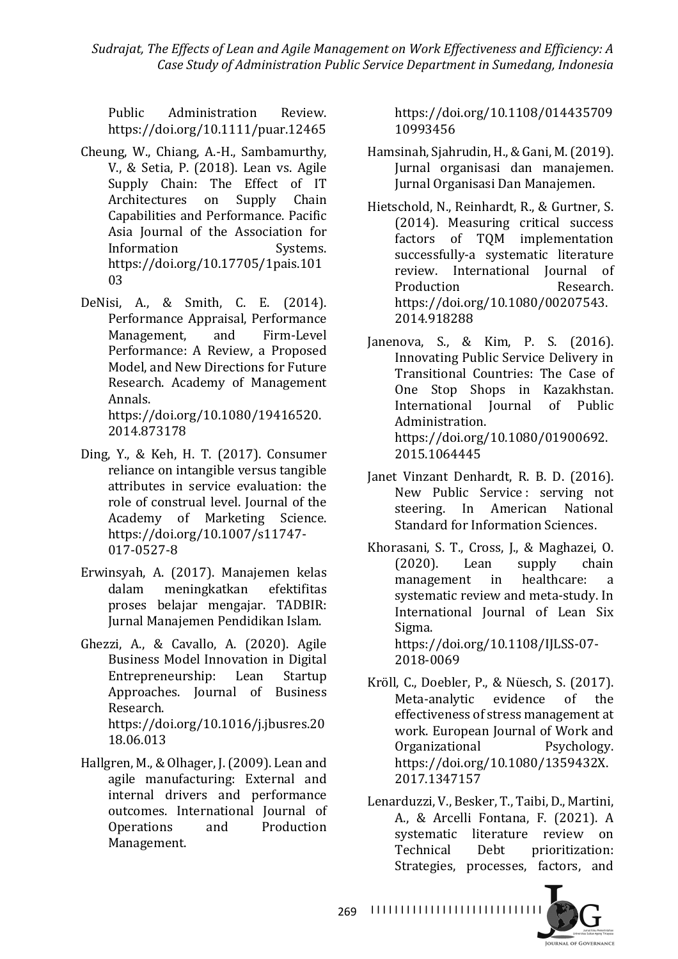Sudrajat, The Effects of Lean and Agile Management on Work Effectiveness and Efficiency: A *Case Study of Administration Public Service Department in Sumedang, Indonesia*

Public Administration Review. https://doi.org/10.1111/puar.12465

- Cheung, W., Chiang, A.-H., Sambamurthy, V., & Setia, P. (2018). Lean vs. Agile Supply Chain: The Effect of IT Architectures on Supply Chain Capabilities and Performance. Pacific Asia Journal of the Association for Information Systems. https://doi.org/10.17705/1pais.101 03
- DeNisi, A., & Smith, C. E. (2014). Performance Appraisal, Performance Management, and Firm-Level Performance: A Review, a Proposed Model, and New Directions for Future Research. Academy of Management Annals. https://doi.org/10.1080/19416520. 2014.873178
- Ding, Y., & Keh, H. T. (2017). Consumer reliance on intangible versus tangible attributes in service evaluation: the role of construal level. Journal of the Academy of Marketing Science. https://doi.org/10.1007/s11747- 017-0527-8
- Erwinsyah, A. (2017). Manajemen kelas dalam meningkatkan efektifitas proses belajar mengajar. TADBIR: Jurnal Manajemen Pendidikan Islam.
- Ghezzi, A., & Cavallo, A. (2020). Agile Business Model Innovation in Digital Entrepreneurship: Lean Startup Approaches. Journal of Business Research. https://doi.org/10.1016/j.jbusres.20 18.06.013
- Hallgren, M., & Olhager, J. (2009). Lean and agile manufacturing: External and internal drivers and performance outcomes. International Journal of Operations and Production Management.

https://doi.org/10.1108/014435709 10993456

- Hamsinah, Sjahrudin, H., & Gani, M. (2019). Jurnal organisasi dan manajemen. Jurnal Organisasi Dan Manajemen.
- Hietschold, N., Reinhardt, R., & Gurtner, S. (2014). Measuring critical success factors of TQM implementation successfully-a systematic literature review. International Iournal of Production Research. https://doi.org/10.1080/00207543. 2014.918288
- Janenova, S., & Kim, P. S. (2016). Innovating Public Service Delivery in Transitional Countries: The Case of One Stop Shops in Kazakhstan. International Iournal of Public Administration. https://doi.org/10.1080/01900692. 2015.1064445
- Janet Vinzant Denhardt, R. B. D. (2016). New Public Service: serving not steering. In American National Standard for Information Sciences.
- Khorasani, S. T., Cross, J., & Maghazei, O. (2020). Lean supply chain management in healthcare: a systematic review and meta-study. In International Journal of Lean Six Sigma. https://doi.org/10.1108/IJLSS-07- 2018-0069
- Kröll, C., Doebler, P., & Nüesch, S. (2017). Meta-analytic evidence of the effectiveness of stress management at work. European Journal of Work and Organizational Psychology. https://doi.org/10.1080/1359432X. 2017.1347157
- Lenarduzzi, V., Besker, T., Taibi, D., Martini, A., & Arcelli Fontana, F. (2021). A systematic literature review on Technical Debt prioritization: Strategies, processes, factors, and



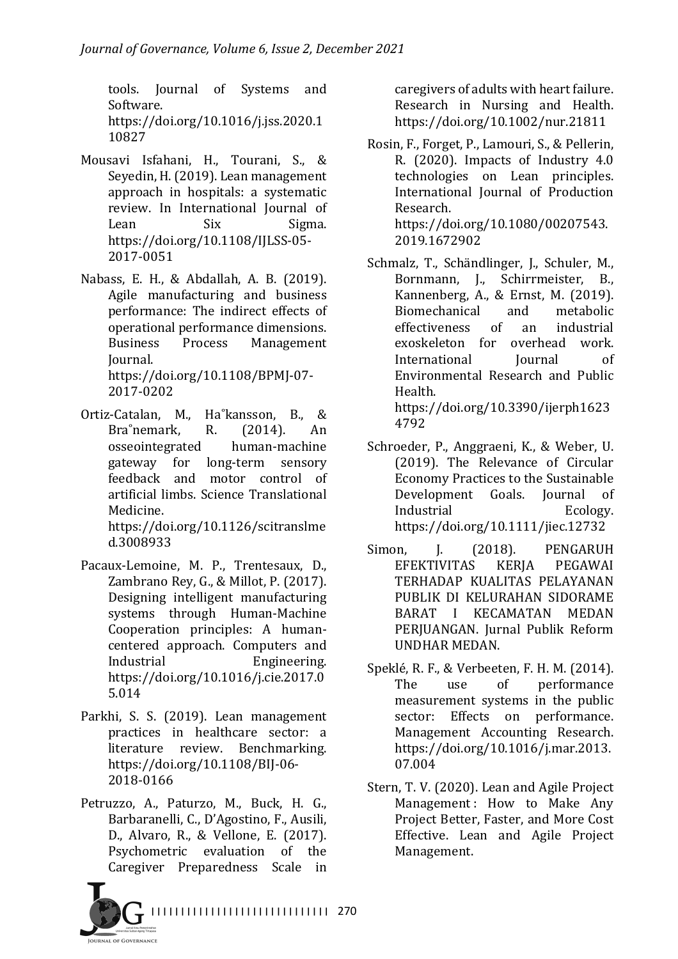tools. Journal of Systems and Software. https://doi.org/10.1016/j.jss.2020.1 10827

- Mousavi Isfahani, H., Tourani, S., & Seyedin, H. (2019). Lean management approach in hospitals: a systematic review. In International Iournal of Lean Six Sigma. https://doi.org/10.1108/IJLSS-05- 2017-0051
- Nabass, E. H., & Abdallah, A. B. (2019). Agile manufacturing and business performance: The indirect effects of operational performance dimensions. Business Process Management Journal. https://doi.org/10.1108/BPMJ-07- 2017-0202
- Ortiz-Catalan, M., Ha˚kansson, B., & Bra°nemark, R. (2014). An osseointegrated human-machine gateway for long-term sensory feedback and motor control of artificial limbs. Science Translational Medicine. https://doi.org/10.1126/scitranslme

d.3008933

- Pacaux-Lemoine, M. P., Trentesaux, D., Zambrano Rey, G., & Millot, P. (2017). Designing intelligent manufacturing systems through Human-Machine Cooperation principles: A humancentered approach. Computers and Industrial Engineering. https://doi.org/10.1016/j.cie.2017.0 5.014
- Parkhi, S. S. (2019). Lean management practices in healthcare sector: a literature review. Benchmarking. https://doi.org/10.1108/BIJ-06- 2018-0166
- Petruzzo, A., Paturzo, M., Buck, H. G., Barbaranelli, C., D'Agostino, F., Ausili, D., Alvaro, R., & Vellone, E. (2017). Psychometric evaluation of the Caregiver Preparedness Scale in

caregivers of adults with heart failure. Research in Nursing and Health. https://doi.org/10.1002/nur.21811

- Rosin, F., Forget, P., Lamouri, S., & Pellerin, R.  $(2020)$ . Impacts of Industry  $4.0$ technologies on Lean principles. International Journal of Production Research. https://doi.org/10.1080/00207543. 2019.1672902
- Schmalz, T., Schändlinger, J., Schuler, M., Bornmann, J., Schirrmeister, B., Kannenberg, A., & Ernst, M. (2019). Biomechanical and metabolic effectiveness of an industrial exoskeleton for overhead work. International Iournal of Environmental Research and Public Health.

https://doi.org/10.3390/ijerph1623 4792

- Schroeder, P., Anggraeni, K., & Weber, U. (2019). The Relevance of Circular Economy Practices to the Sustainable Development Goals. Journal of Industrial Ecology. https://doi.org/10.1111/jiec.12732
- Simon, J. (2018). PENGARUH EFEKTIVITAS KERJA PEGAWAI TERHADAP KUALITAS PELAYANAN PUBLIK DI KELURAHAN SIDORAME BARAT I KECAMATAN MEDAN PERIUANGAN. Jurnal Publik Reform UNDHAR MEDAN.
- Speklé, R. F., & Verbeeten, F. H. M. (2014). The use of performance measurement systems in the public sector: Effects on performance. Management Accounting Research. https://doi.org/10.1016/j.mar.2013. 07.004
- Stern, T. V. (2020). Lean and Agile Project Management: How to Make Any Project Better, Faster, and More Cost Effective. Lean and Agile Project Management.